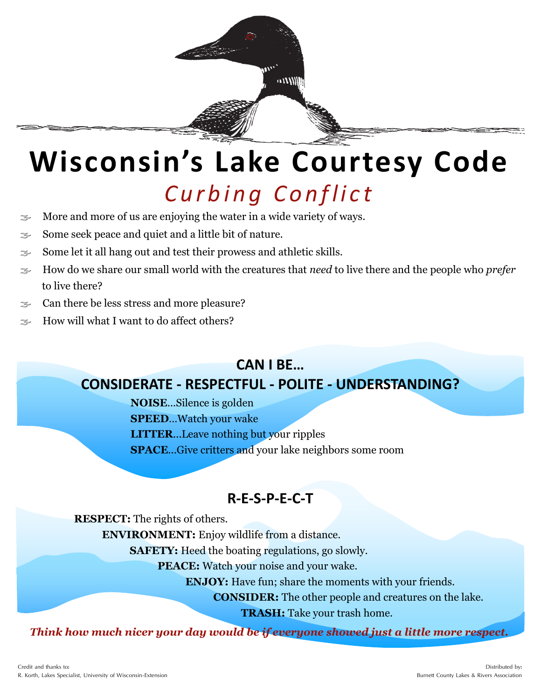

## **Wisconsin's Lake Courtesy Code** *C u r b i n g C o n f l i c t*

- $\approx$  More and more of us are enjoying the water in a wide variety of ways.
- $\mathcal{F}$  Some seek peace and quiet and a little bit of nature.
- $\approx$  Some let it all hang out and test their prowess and athletic skills.
- How do we share our small world with the creatures that *need* to live there and the people who *prefer*  to live there?
- $\approx$  Can there be less stress and more pleasure?
- $\approx$  How will what I want to do affect others?

### **CAN I BE… CONSIDERATE - RESPECTFUL - POLITE - UNDERSTANDING?**

**NOISE**...Silence is golden **SPEED**…Watch your wake **LITTER**...Leave nothing but your ripples

**SPACE**...Give critters and your lake neighbors some room

### **R-E-S-P-E-C-T**

**RESPECT:** The rights of others.

**ENVIRONMENT:** Enjoy wildlife from a distance.

**SAFETY:** Heed the boating regulations, go slowly.

**PEACE:** Watch your noise and your wake.

**ENJOY:** Have fun; share the moments with your friends.

**CONSIDER:** The other people and creatures on the lake.

**TRASH:** Take your trash home.

*Think how much nicer your day would be if everyone showed just a little more respect.*